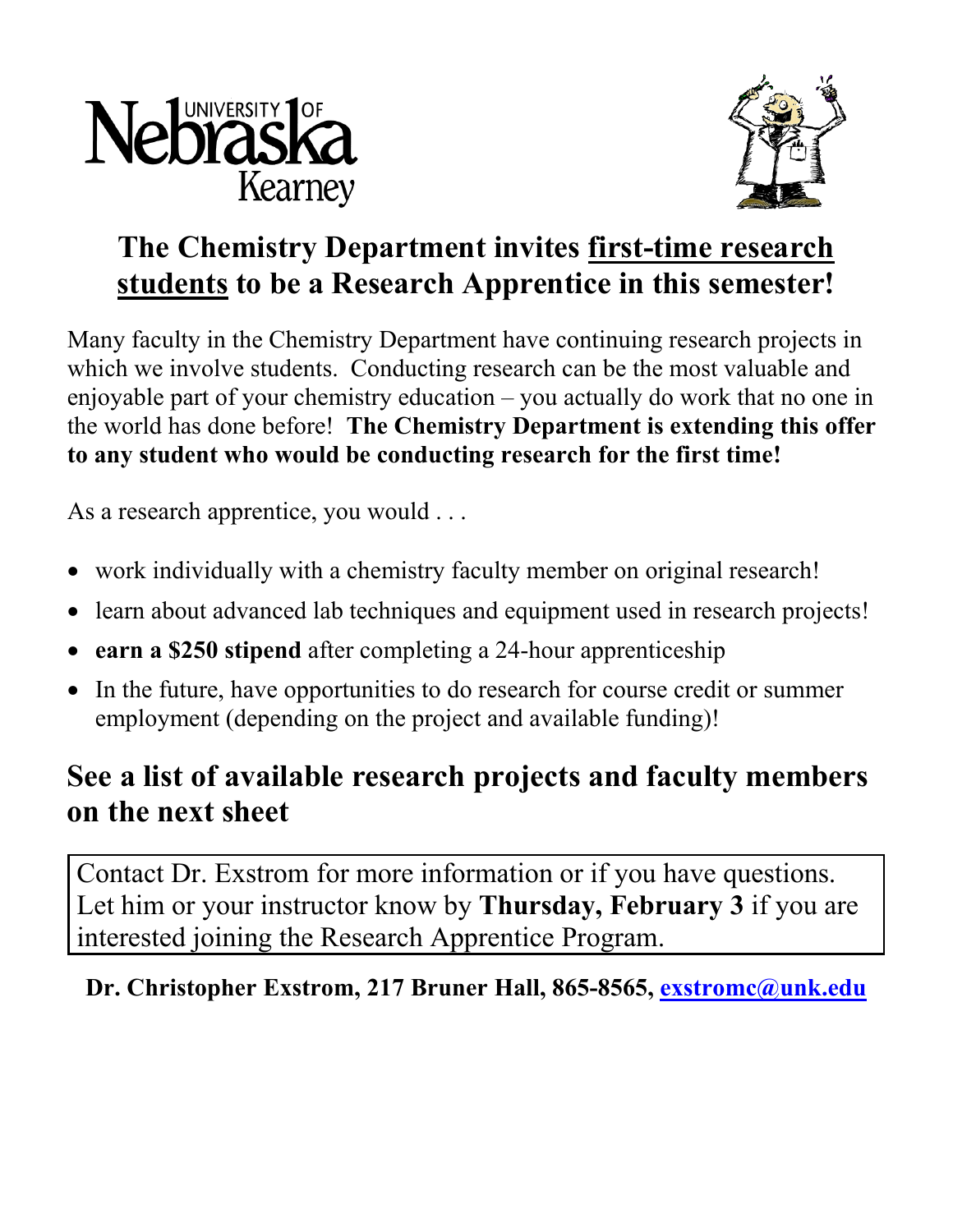



## **The Chemistry Department invites first-time research students to be a Research Apprentice in this semester!**

Many faculty in the Chemistry Department have continuing research projects in which we involve students. Conducting research can be the most valuable and enjoyable part of your chemistry education – you actually do work that no one in the world has done before! **The Chemistry Department is extending this offer to any student who would be conducting research for the first time!**

As a research apprentice, you would ...

- work individually with a chemistry faculty member on original research!
- learn about advanced lab techniques and equipment used in research projects!
- **earn a \$250 stipend** after completing a 24-hour apprenticeship
- In the future, have opportunities to do research for course credit or summer employment (depending on the project and available funding)!

### **See a list of available research projects and faculty members on the next sheet**

Contact Dr. Exstrom for more information or if you have questions. Let him or your instructor know by **Thursday, February 3** if you are interested joining the Research Apprentice Program.

#### **Dr. Christopher Exstrom, 217 Bruner Hall, 865-8565, [exstromc@unk.edu](mailto:exstromc@unk.edu)**